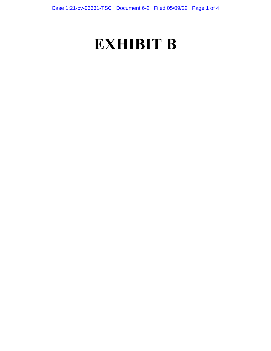# **EXHIBIT B**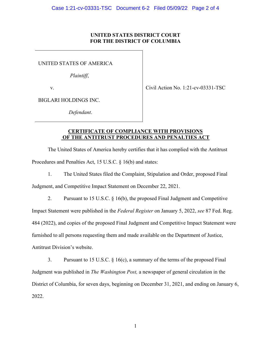#### **UNITED STATES DISTRICT COURT FOR THE DISTRICT OF COLUMBIA**

UNITED STATES OF AMERICA

*Plaintiff*,

v. Civil Action No. 1:21-cv-03331-TSC

BIGLARI HOLDINGS INC.

*Defendant*.

### **CERTIFICATE OF COMPLIANCE WITH PROVISIONS OF THE ANTITRUST PROCEDURES AND PENALTIES ACT**

 The United States of America hereby certifies that it has complied with the Antitrust Procedures and Penalties Act, 15 U.S.C. § 16(b) and states:

1. The United States filed the Complaint, Stipulation and Order, proposed Final

Judgment, and Competitive Impact Statement on December 22, 2021.

2. Pursuant to 15 U.S.C. § 16(b), the proposed Final Judgment and Competitive

Impact Statement were published in the *Federal Register* on January 5, 2022, *see* 87 Fed. Reg.

484 (2022), and copies of the proposed Final Judgment and Competitive Impact Statement were

furnished to all persons requesting them and made available on the Department of Justice,

Antitrust Division's website.

3. Pursuant to 15 U.S.C.  $\S$  16(c), a summary of the terms of the proposed Final District of Columbia, for seven days, beginning on December 31, 2021, and ending on January 6, Judgment was published in *The Washington Post,* a newspaper of general circulation in the 2022.

1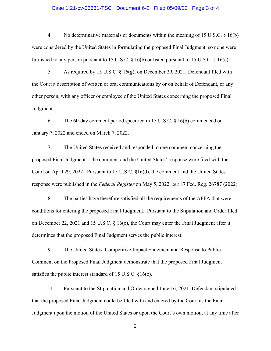### Case 1:21-cv-03331-TSC Document 6-2 Filed 05/09/22 Page 3 of 4

4. No determinative materials or documents within the meaning of 15 U.S.C. § 16(b) were considered by the United States in formulating the proposed Final Judgment, so none were furnished to any person pursuant to 15 U.S.C.  $\S$  16(b) or listed pursuant to 15 U.S.C.  $\S$  16(c).

 the Court a description of written or oral communications by or on behalf of Defendant, or any other person, with any officer or employee of the United States concerning the proposed Final 5. As required by 15 U.S.C. § 16(g), on December 29, 2021, Defendant filed with Judgment.

January 7, 2022 and ended on March 7, 2022. 6. The 60-day comment period specified in 15 U.S.C. § 16(b) commenced on

 proposed Final Judgment. The comment and the United States' response were filed with the Court on April 29, 2022. Pursuant to 15 U.S.C. §16(d), the comment and the United States' response were published in the *Federal Register* on May 5, 2022, *see* 87 Fed. Reg. 26787 (2022). 7. The United States received and responded to one comment concerning the

 determines that the proposed Final Judgment serves the public interest. 8. The parties have therefore satisfied all the requirements of the APPA that were conditions for entering the proposed Final Judgment. Pursuant to the Stipulation and Order filed on December 22, 2021 and 15 U.S.C. § 16(e), the Court may enter the Final Judgment after it

 satisfies the public interest standard of 15 U.S.C. §16(e). 9. The United States' Competitive Impact Statement and Response to Public Comment on the Proposed Final Judgment demonstrate that the proposed Final Judgment

 that the proposed Final Judgment could be filed with and entered by the Court as the Final 11. Pursuant to the Stipulation and Order signed June 16, 2021, Defendant stipulated Judgment upon the motion of the United States or upon the Court's own motion, at any time after

2